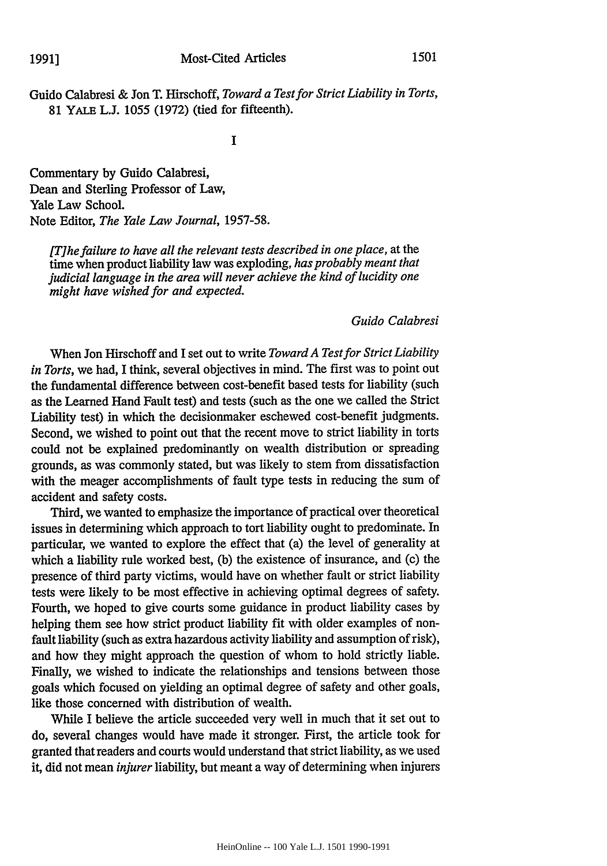Guido Calabresi & Jon T. Hirschoff, *Toward a Test for Strict Liability in Torts,* 81 YALE L.J. 1055 (1972) (tied for fifteenth).

T<sub>1</sub>

Commentary by Guido Calabresi, Dean and Sterling Professor of Law, Yale Law School. Note Editor, *The Yale Law Journal, 1957-58.*

*[T]he failure to have all the relevant tests described in one place,* at the time when product liability law was exploding, *has probably meant that judicial language in the area will never achieve the kind of lucidity one might have wished for and expected.*

*Guido Calabresi*

When Jon Hirschoff and I set out to write *Toward A Test for Strict Liability in Torts,* we had, I think, several objectives in mind. The first was to point out the fundamental difference between cost-benefit based tests for liability (such as the Learned Hand Fault test) and tests (such as the one we called the Strict Liability test) in which the decisionmaker eschewed cost-benefit judgments. Second, we wished to point out that the recent move to strict liability in torts could not be explained predominantly on wealth distribution or spreading grounds, as was commonly stated, but was likely to stem from dissatisfaction with the meager accomplishments of fault type tests in reducing the sum of accident and safety costs.

Third, we wanted to emphasize the importance of practical over theoretical issues in determining which approach to tort liability ought to predominate. In particular, we wanted to explore the effect that (a) the level of generality at which a liability rule worked best, (b) the existence of insurance, and (c) the presence of third party victims, would have on whether fault or strict liability tests were likely to be most effective in achieving optimal degrees of safety. Fourth, we hoped to give courts some guidance in product liability cases by helping them see how strict product liability fit with older examples of nonfault liability (such as extra hazardous activity liability and assumption of risk), and how they might approach the question of whom to hold strictly liable. Finally, we wished to indicate the relationships and tensions between those goals which focused on yielding an optimal degree of safety and other goals, like those concerned with distribution of wealth.

While I believe the article succeeded very well in much that it set out to do, several changes would have made it stronger. First, the article took for granted that readers and courts would understand that strict liability, as we used it, did not mean *injurer* liability, but meant a way of determining when injurers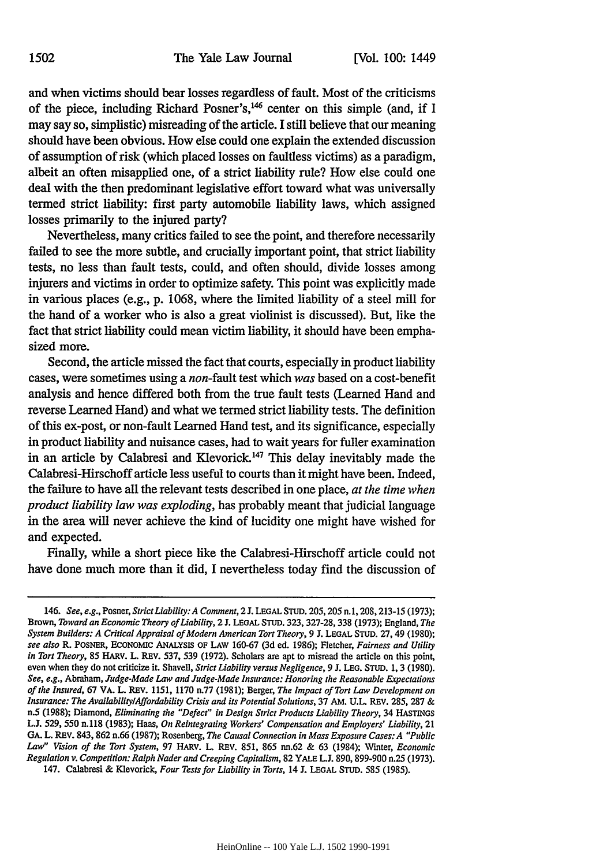and when victims should bear losses regardless of fault. Most of the criticisms of the piece, including Richard Posner's, $146$  center on this simple (and, if I may say so, simplistic) misreading of the article. I still believe that our meaning should have been obvious. How else could one explain the extended discussion of assumption of risk (which placed losses on faultless victims) as a paradigm, albeit an often misapplied one, of a strict liability rule? How else could one deal with the then predominant legislative effort toward what was universally termed strict liability: first party automobile liability laws, which assigned losses primarily to the injured party?

Nevertheless, many critics failed to see the point, and therefore necessarily failed to see the more subtle, and crucially important point, that strict liability tests, no less than fault tests, could, and often should, divide losses among injurers and victims in order to optimize safety. This point was explicitly made in various places (e.g., p. 1068, where the limited liability of a steel mill for the hand of a worker who is also a great violinist is discussed). But, like the fact that strict liability could mean victim liability, it should have been emphasized more.

Second, the article missed the fact that courts, especially in product liability cases, were sometimes using a non-fault test which *was* based on a cost-benefit analysis and hence differed both from the true fault tests (Learned Hand and reverse Learned Hand) and what we termed strict liability tests. The definition of this ex-post, or non-fault Learned Hand test, and its significance, especially in product liability and nuisance cases, had to wait years for fuller examination in an article by Calabresi and Klevorick. 147 This delay inevitably made the Calabresi-Hirschoff article less useful to courts than it might have been. Indeed, the failure to have all the relevant tests described in one place, *at the time when product liability law was exploding,* has probably meant that judicial language in the area will never achieve the kind of lucidity one might have wished for and expected.

Finally, while a short piece like the Calabresi-Hirschoff article could not have done much more than it did, I nevertheless today find the discussion of

147. Calabresi & Kievorick, *Four Tests for Liability in Torts,* 14 . LEGAL STUD. 585 (1985).

<sup>146.</sup> *See, e.g., Posner, Strict Liability: A Comment,* 2 *L* LEGAL **STUD. 205,** *205* **n.1,** 208, 213-15 (1973); Brown, *Toward an Economic Theory of Liability,* 2 *L* **LEGAL** STuD. 323,327-28, 338 **(1973);** England, *The System Builders: A Critical Appraisal of Modern American Tort Theory,* 9 *J.* LEGAL **STUD. 27,** 49 (1980); *see also* R. POSNER, ECONOMIC ANALYSIS OF LAW 160-67 (3d ed. 1986); Fletcher, *Fairness and Utility in Tort Theory,* 85 HARV. L. REV. 537, 539 (1972). Scholars are apt to misread the article on this point, even when they do not criticize it. Shavell, *Strict Liability versus Negligence, 9 J.* LEG. STUD. 1, 3 (1980). *See, e.g., Abraham, Judge-Made Law and Judge-Made Insurance: Honoring the Reasonable Expectations of the Insured,* 67 VA. L. REv. 1151, 1170 n.77 (1981); Berger, *The Impact of Tort Law Development on Insurance: The AvailabilitylAffordability Crisis and its Potential Solutions,* 37 AM. **U.L** REV. 285, 287 & n.5 (1988); Diamond, *Eliminating the "Defect" in Design Strict Products Liability Theory,* 34 HASTINGS **LJ.** 529, 550 n.118 (1983); Haas, *On Reintegrating Workers' Compensation and Employers' Liability, 21* GA. L. REV. 843, 862 n.66 (1987); Rosenberg, *The Causal Connection in Mass Exposure Cases: A "Public Law" Vision of the Tort System,* 97 HARv. L REV. 851, 865 nn.62 & 63 (1984); Winter, *Economic Regulation v. Competition: Ralph Nader and Creeping Capitalism,* 82 YALE **LJ.** 890, 899-900 n.25 (1973).